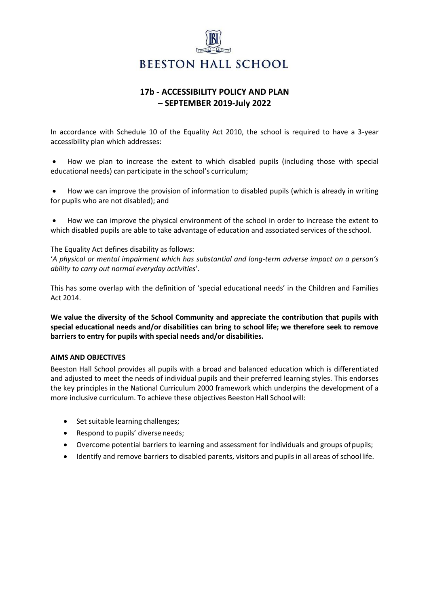

### **17b - ACCESSIBILITY POLICY AND PLAN – SEPTEMBER 2019-July 2022**

In accordance with Schedule 10 of the Equality Act 2010, the school is required to have a 3-year accessibility plan which addresses:

• How we plan to increase the extent to which disabled pupils (including those with special educational needs) can participate in the school's curriculum;

• How we can improve the provision of information to disabled pupils (which is already in writing for pupils who are not disabled); and

• How we can improve the physical environment of the school in order to increase the extent to which disabled pupils are able to take advantage of education and associated services of the school.

The Equality Act defines disability as follows:

'*A physical or mental impairment which has substantial and long-term adverse impact on a person's ability to carry out normal everyday activities*'.

This has some overlap with the definition of 'special educational needs' in the Children and Families Act 2014.

**We value the diversity of the School Community and appreciate the contribution that pupils with special educational needs and/or disabilities can bring to school life; we therefore seek to remove barriers to entry for pupils with special needs and/or disabilities.**

#### **AIMS AND OBJECTIVES**

Beeston Hall School provides all pupils with a broad and balanced education which is differentiated and adjusted to meet the needs of individual pupils and their preferred learning styles. This endorses the key principles in the National Curriculum 2000 framework which underpins the development of a more inclusive curriculum. To achieve these objectives Beeston Hall Schoolwill:

- Set suitable learning challenges;
- Respond to pupils' diverse needs;
- Overcome potential barriers to learning and assessment for individuals and groups of pupils;
- Identify and remove barriers to disabled parents, visitors and pupils in all areas of school life.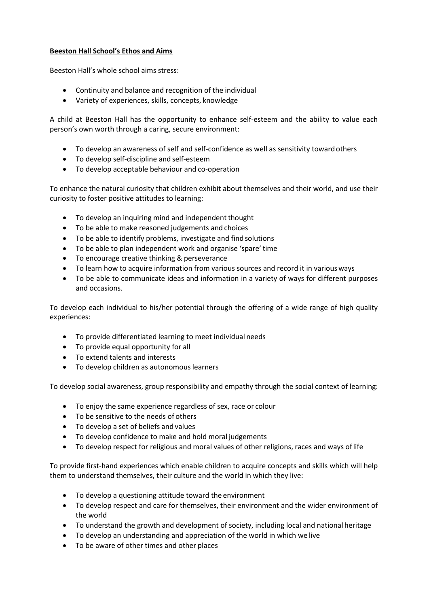### **Beeston Hall School's Ethos and Aims**

Beeston Hall's whole school aims stress:

- Continuity and balance and recognition of the individual
- Variety of experiences, skills, concepts, knowledge

A child at Beeston Hall has the opportunity to enhance self‐esteem and the ability to value each person's own worth through a caring, secure environment:

- To develop an awareness of self and self-confidence as well as sensitivity toward others
- To develop self‐discipline and self‐esteem
- To develop acceptable behaviour and co‐operation

To enhance the natural curiosity that children exhibit about themselves and their world, and use their curiosity to foster positive attitudes to learning:

- To develop an inquiring mind and independent thought
- To be able to make reasoned judgements and choices
- To be able to identify problems, investigate and find solutions
- To be able to plan independent work and organise 'spare' time
- To encourage creative thinking & perseverance
- To learn how to acquire information from various sources and record it in variousways
- To be able to communicate ideas and information in a variety of ways for different purposes and occasions.

To develop each individual to his/her potential through the offering of a wide range of high quality experiences:

- To provide differentiated learning to meet individual needs
- To provide equal opportunity for all
- To extend talents and interests
- To develop children as autonomous learners

To develop social awareness, group responsibility and empathy through the social context of learning:

- To enjoy the same experience regardless of sex, race or colour
- To be sensitive to the needs of others
- To develop a set of beliefs and values
- To develop confidence to make and hold moral judgements
- To develop respect for religious and moral values of other religions, races and ways of life

To provide first-hand experiences which enable children to acquire concepts and skills which will help them to understand themselves, their culture and the world in which they live:

- To develop a questioning attitude toward the environment
- To develop respect and care for themselves, their environment and the wider environment of the world
- To understand the growth and development of society, including local and national heritage
- To develop an understanding and appreciation of the world in which we live
- To be aware of other times and other places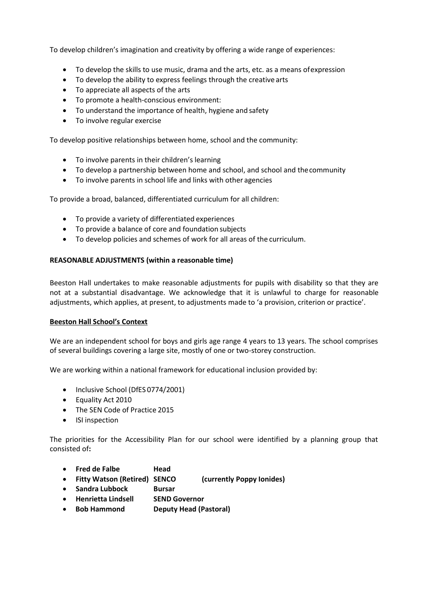To develop children's imagination and creativity by offering a wide range of experiences:

- To develop the skills to use music, drama and the arts, etc. as a means ofexpression
- To develop the ability to express feelings through the creative arts
- To appreciate all aspects of the arts
- To promote a health-conscious environment:
- To understand the importance of health, hygiene and safety
- To involve regular exercise

To develop positive relationships between home, school and the community:

- To involve parents in their children's learning
- To develop a partnership between home and school, and school and thecommunity
- To involve parents in school life and links with other agencies

To provide a broad, balanced, differentiated curriculum for all children:

- To provide a variety of differentiated experiences
- To provide a balance of core and foundation subjects
- To develop policies and schemes of work for all areas of the curriculum.

#### **REASONABLE ADJUSTMENTS (within a reasonable time)**

Beeston Hall undertakes to make reasonable adjustments for pupils with disability so that they are not at a substantial disadvantage. We acknowledge that it is unlawful to charge for reasonable adjustments, which applies, at present, to adjustments made to 'a provision, criterion or practice'.

#### **Beeston Hall School's Context**

We are an independent school for boys and girls age range 4 years to 13 years. The school comprises of several buildings covering a large site, mostly of one or two-storey construction.

We are working within a national framework for educational inclusion provided by:

- Inclusive School (DfES 0774/2001)
- Equality Act 2010
- The SEN Code of Practice 2015
- ISI inspection

The priorities for the Accessibility Plan for our school were identified by a planning group that consisted of**:**

- **Fred de Falbe Head**
- **Fitty Watson (Retired) SENCO (currently Poppy Ionides)**
- **Sandra Lubbock Bursar**
- **Henrietta Lindsell SEND Governor**
- **Bob Hammond Deputy Head (Pastoral)**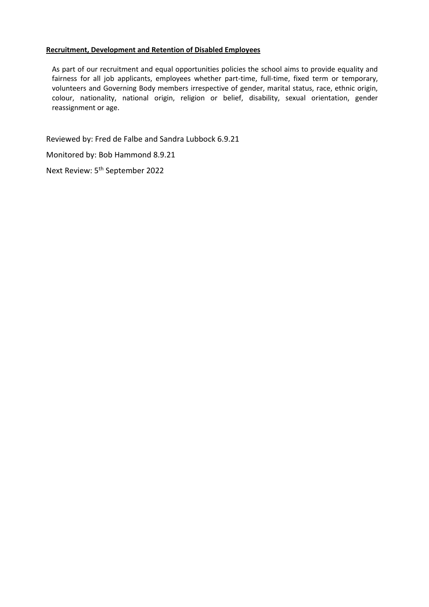#### **Recruitment, Development and Retention of Disabled Employees**

As part of our recruitment and equal opportunities policies the school aims to provide equality and fairness for all job applicants, employees whether part-time, full-time, fixed term or temporary, volunteers and Governing Body members irrespective of gender, marital status, race, ethnic origin, colour, nationality, national origin, religion or belief, disability, sexual orientation, gender reassignment or age.

Reviewed by: Fred de Falbe and Sandra Lubbock 6.9.21

Monitored by: Bob Hammond 8.9.21

Next Review: 5th September 2022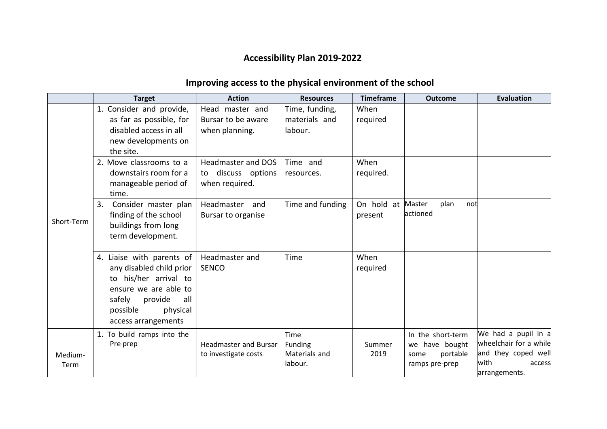## **Accessibility Plan 2019-2022**

## **Improving access to the physical environment of the school**

|                 | <b>Target</b>                                                                                                                                                                                          | <b>Action</b>                                                                                                         | <b>Resources</b>                                                     | <b>Timeframe</b>                      | <b>Outcome</b>                                                            | <b>Evaluation</b>                                                                                       |
|-----------------|--------------------------------------------------------------------------------------------------------------------------------------------------------------------------------------------------------|-----------------------------------------------------------------------------------------------------------------------|----------------------------------------------------------------------|---------------------------------------|---------------------------------------------------------------------------|---------------------------------------------------------------------------------------------------------|
| Short-Term      | 1. Consider and provide,<br>as far as possible, for<br>disabled access in all<br>new developments on<br>the site.<br>2. Move classrooms to a<br>downstairs room for a<br>manageable period of<br>time. | Head master and<br>Bursar to be aware<br>when planning.<br>Headmaster and DOS<br>to discuss options<br>when required. | Time, funding,<br>materials and<br>labour.<br>Time and<br>resources. | When<br>required<br>When<br>required. |                                                                           |                                                                                                         |
|                 | Consider master plan<br>3.<br>finding of the school<br>buildings from long<br>term development.                                                                                                        | Headmaster<br>and<br>Bursar to organise                                                                               | Time and funding                                                     | On hold at<br>present                 | plan<br>Master<br>not<br>actioned                                         |                                                                                                         |
|                 | 4. Liaise with parents of<br>any disabled child prior<br>to his/her arrival to<br>ensure we are able to<br>safely<br>provide<br>all<br>possible<br>physical<br>access arrangements                     | Headmaster and<br><b>SENCO</b>                                                                                        | Time                                                                 | When<br>required                      |                                                                           |                                                                                                         |
| Medium-<br>Term | 1. To build ramps into the<br>Pre prep                                                                                                                                                                 | <b>Headmaster and Bursar</b><br>to investigate costs                                                                  | Time<br>Funding<br>Materials and<br>labour.                          | Summer<br>2019                        | In the short-term<br>we have bought<br>portable<br>some<br>ramps pre-prep | We had a pupil in a<br>wheelchair for a while<br>and they coped well<br>with<br>access<br>arrangements. |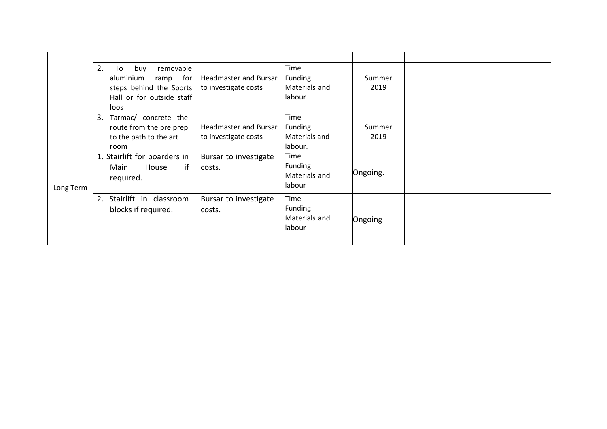|           | 2.<br>removable<br>To<br>buy<br>aluminium<br>for<br>ramp<br>steps behind the Sports<br>Hall or for outside staff<br>loos | <b>Headmaster and Bursar</b><br>to investigate costs | Time<br><b>Funding</b><br>Materials and<br>labour. | Summer<br>2019 |  |
|-----------|--------------------------------------------------------------------------------------------------------------------------|------------------------------------------------------|----------------------------------------------------|----------------|--|
|           | 3. Tarmac/ concrete the<br>route from the pre prep<br>to the path to the art<br>room                                     | <b>Headmaster and Bursar</b><br>to investigate costs | Time<br><b>Funding</b><br>Materials and<br>labour. | Summer<br>2019 |  |
| Long Term | 1. Stairlift for boarders in<br>if<br>Main<br>House<br>required.                                                         | Bursar to investigate<br>costs.                      | Time<br><b>Funding</b><br>Materials and<br>labour  | Ongoing.       |  |
|           | Stairlift in classroom<br>2.<br>blocks if required.                                                                      | Bursar to investigate<br>costs.                      | Time<br><b>Funding</b><br>Materials and<br>labour  | Ongoing        |  |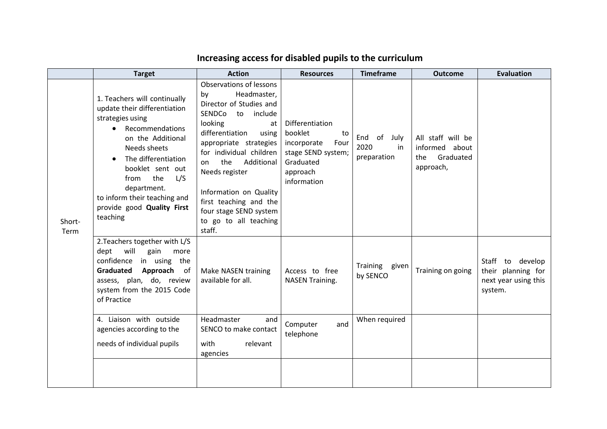|                | <b>Target</b>                                                                                                                                                                                                                                                                                                                | <b>Action</b>                                                                                                                                                                                                                                                                                                                                                                 | <b>Resources</b>                                                                                                      | <b>Timeframe</b>                         | <b>Outcome</b>                                                       | <b>Evaluation</b>                                                         |
|----------------|------------------------------------------------------------------------------------------------------------------------------------------------------------------------------------------------------------------------------------------------------------------------------------------------------------------------------|-------------------------------------------------------------------------------------------------------------------------------------------------------------------------------------------------------------------------------------------------------------------------------------------------------------------------------------------------------------------------------|-----------------------------------------------------------------------------------------------------------------------|------------------------------------------|----------------------------------------------------------------------|---------------------------------------------------------------------------|
| Short-<br>Term | 1. Teachers will continually<br>update their differentiation<br>strategies using<br>Recommendations<br>$\bullet$<br>on the Additional<br>Needs sheets<br>The differentiation<br>$\bullet$<br>booklet sent out<br>the<br>L/S<br>from<br>department.<br>to inform their teaching and<br>provide good Quality First<br>teaching | <b>Observations of lessons</b><br>Headmaster,<br>by<br>Director of Studies and<br><b>SENDCo</b><br>to include<br>looking<br>at<br>differentiation<br>using<br>appropriate strategies<br>for individual children<br>the<br>Additional<br>on<br>Needs register<br>Information on Quality<br>first teaching and the<br>four stage SEND system<br>to go to all teaching<br>staff. | Differentiation<br>booklet<br>to<br>incorporate<br>Four<br>stage SEND system;<br>Graduated<br>approach<br>information | End of July<br>2020<br>in<br>preparation | All staff will be<br>informed about<br>Graduated<br>the<br>approach, |                                                                           |
|                | 2. Teachers together with L/S<br>dept will<br>gain<br>more<br>confidence in using the<br>Graduated<br>Approach of<br>assess, plan, do, review<br>system from the 2015 Code<br>of Practice                                                                                                                                    | Make NASEN training<br>available for all.                                                                                                                                                                                                                                                                                                                                     | Access to free<br><b>NASEN Training.</b>                                                                              | Training<br>given<br>by SENCO            | Training on going                                                    | Staff to develop<br>their planning for<br>next year using this<br>system. |
|                | 4. Liaison with outside<br>agencies according to the<br>needs of individual pupils                                                                                                                                                                                                                                           | Headmaster<br>and<br>SENCO to make contact<br>with<br>relevant<br>agencies                                                                                                                                                                                                                                                                                                    | Computer<br>and<br>telephone                                                                                          | When required                            |                                                                      |                                                                           |
|                |                                                                                                                                                                                                                                                                                                                              |                                                                                                                                                                                                                                                                                                                                                                               |                                                                                                                       |                                          |                                                                      |                                                                           |

# **Increasing access for disabled pupils to the curriculum**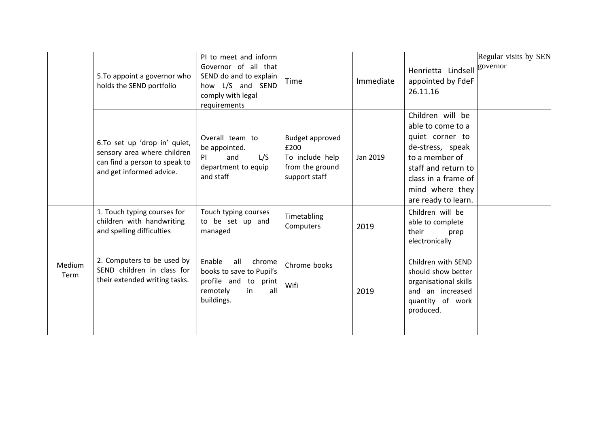|                | 5. To appoint a governor who<br>holds the SEND portfolio                                                                 | PI to meet and inform<br>Governor of all that<br>SEND do and to explain<br>how L/S and SEND<br>comply with legal<br>requirements | Time                                                                           | Immediate | Henrietta Lindsell<br>appointed by FdeF<br>26.11.16                                                                                                                                    | Regular visits by SEN<br>governor |
|----------------|--------------------------------------------------------------------------------------------------------------------------|----------------------------------------------------------------------------------------------------------------------------------|--------------------------------------------------------------------------------|-----------|----------------------------------------------------------------------------------------------------------------------------------------------------------------------------------------|-----------------------------------|
|                | 6.To set up 'drop in' quiet,<br>sensory area where children<br>can find a person to speak to<br>and get informed advice. | Overall team to<br>be appointed.<br>and<br>L/S<br><b>PI</b><br>department to equip<br>and staff                                  | Budget approved<br>£200<br>To include help<br>from the ground<br>support staff | Jan 2019  | Children will be<br>able to come to a<br>quiet corner to<br>de-stress, speak<br>to a member of<br>staff and return to<br>class in a frame of<br>mind where they<br>are ready to learn. |                                   |
|                | 1. Touch typing courses for<br>children with handwriting<br>and spelling difficulties                                    | Touch typing courses<br>to be set up and<br>managed                                                                              | Timetabling<br>Computers                                                       | 2019      | Children will be<br>able to complete<br>their<br>prep<br>electronically                                                                                                                |                                   |
| Medium<br>Term | 2. Computers to be used by<br>SEND children in class for<br>their extended writing tasks.                                | Enable<br>all<br>chrome<br>books to save to Pupil's<br>profile and to print<br>remotely<br>in<br>all<br>buildings.               | Chrome books<br>Wifi                                                           | 2019      | Children with SEND<br>should show better<br>organisational skills<br>and an increased<br>quantity of work<br>produced.                                                                 |                                   |